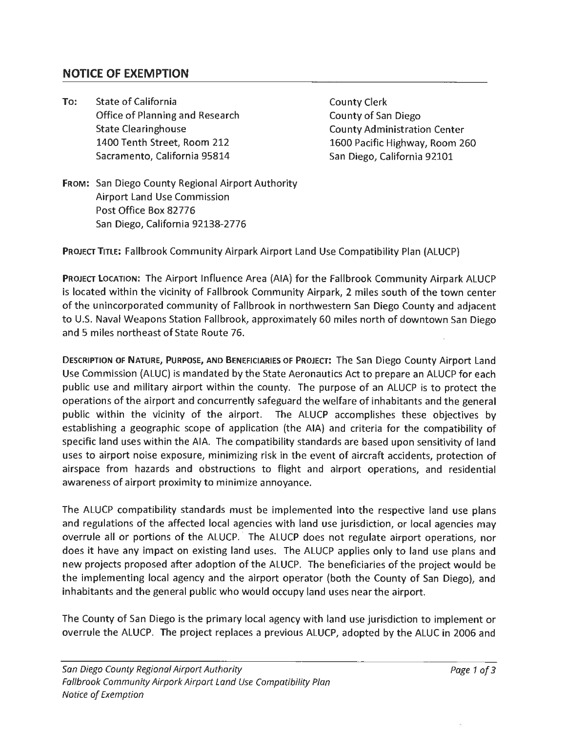## **NOTICE OF EXEMPTION**

**To:** State of California Office of Planning and Research State Clearinghouse 1400 Tenth Street, Room 212 Sacramento, California 95814

County Clerk County of San Diego County Administration Center 1600 Pacific Highway, Room 260 San Diego, California 92101

**FROM:** San Diego County Regional Airport Authority Airport Land Use Commission Post Office Box 82776 San Diego, California 92138-2776

**PROJECT** TITLE: Fallbrook Community Airpark Airport Land Use Compatibility Plan (ALUCP)

**PROJECT LOCATION:** The Airport Influence Area (AIA) for the Fallbrook Community Airpark ALUCP is located within the vicinity of Fallbrook Community Airpark, 2 miles south of the town center of the unincorporated community of Fallbrook in northwestern San Diego County and adjacent to U.S. Naval Weapons Station Fallbrook, approximately 60 miles north of downtown San Diego and 5 miles northeast of State Route 76.

**DESCRIPTION OF NATURE, PURPOSE, AND BENEFICIARIES** OF **PROJECT:** The San Diego County Airport Land Use Commission (ALUC) is mandated by the State Aeronautics Act to prepare an ALUCP for each public use and military airport within the county. The purpose of an ALUCP is to protect the operations of the airport and concurrently safeguard the welfare of inhabitants and the general public within the vicinity of the airport. The ALUCP accomplishes these objectives by establishing a geographic scope of application (the AIA) and criteria for the compatibility of specific land uses within the AIA. The compatibility standards are based upon sensitivity of land uses to airport noise exposure, minimizing risk in the event of aircraft accidents, protection of airspace from hazards and obstructions to flight and airport operations, and residential awareness of airport proximity to minimize annoyance.

The ALUCP compatibility standards must be implemented into the respective land use plans and regulations of the affected local agencies with land use jurisdiction, or local agencies may overrule all or portions of the ALUCP. The ALUCP does not regulate airport operations, nor does it have any impact on existing land uses. The ALUCP applies only to land use plans and new projects proposed after adoption of the ALUCP. The beneficiaries of the project would be the implementing local agency and the airport operator (both the County of San Diego), and inhabitants and the general public who would occupy land uses near the airport.

The County of San Diego is the primary local agency with land use jurisdiction to implement or overrule the ALUCP. The project replaces a previous ALUCP, adopted by the ALUC in 2006 and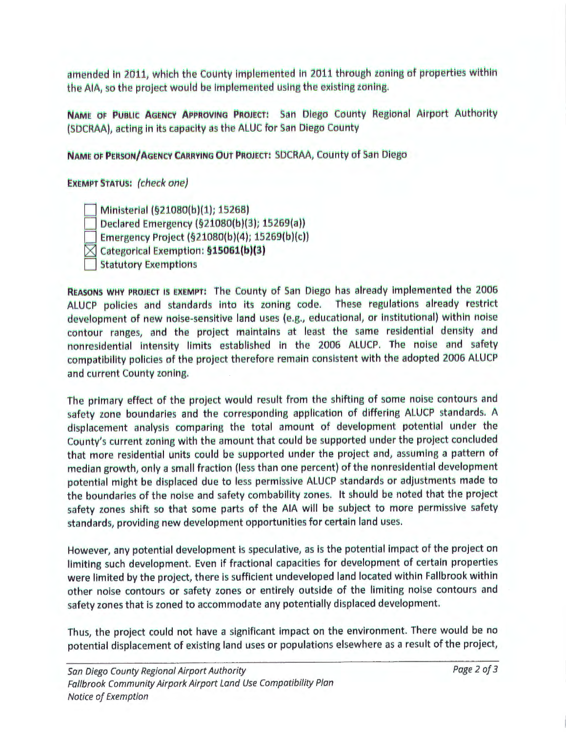amended in 2011, which the County implemented in 2011 through zoning of properties within the AIA, so the project would be implemented using the existing zoning.

NAME OF PUBLIC AGENCY APPROVING PROJECT: San Diego County Regional Airport Authority (SDCRAA), acting in its capacity as the ALUC for San Diego County

NAME OF PERSON/AGENCY CARRYING OUT PROJECT: SDCRAA, County of San Diego

**EXEMPT STATUS: (check one)** 

Ministerial (§21080(b)(1); 15268)

Declared Emergency (§21080(b)(3); 15269(a))

Emergency Project (§21080(b)(4); 15269(b)(c))

 $\boxtimes$  Categorical Exemption: §15061(b)(3)

**Statutory Exemptions** 

REASONS WHY PROJECT IS EXEMPT: The County of San Diego has already implemented the 2006 ALUCP policies and standards into its zoning code. These regulations already restrict development of new noise-sensitive land uses (e.g., educational, or institutional) within noise contour ranges, and the project maintains at least the same residential density and nonresidential intensity limits established in the 2006 ALUCP. The noise and safety compatibility policies of the project therefore remain consistent with the adopted 2006 ALUCP and current County zoning.

The primary effect of the project would result from the shifting of some noise contours and safety zone boundaries and the corresponding application of differing ALUCP standards. A displacement analysis comparing the total amount of development potential under the County's current zoning with the amount that could be supported under the project concluded that more residential units could be supported under the project and, assuming a pattern of median growth, only a small fraction (less than one percent) of the nonresidential development potential might be displaced due to less permissive ALUCP standards or adjustments made to the boundaries of the noise and safety combability zones. It should be noted that the project safety zones shift so that some parts of the AIA will be subject to more permissive safety standards, providing new development opportunities for certain land uses.

However, any potential development is speculative, as is the potential impact of the project on limiting such development. Even if fractional capacities for development of certain properties were limited by the project, there is sufficient undeveloped land located within Fallbrook within other noise contours or safety zones or entirely outside of the limiting noise contours and safety zones that is zoned to accommodate any potentially displaced development.

Thus, the project could not have a significant impact on the environment. There would be no potential displacement of existing land uses or populations elsewhere as a result of the project,